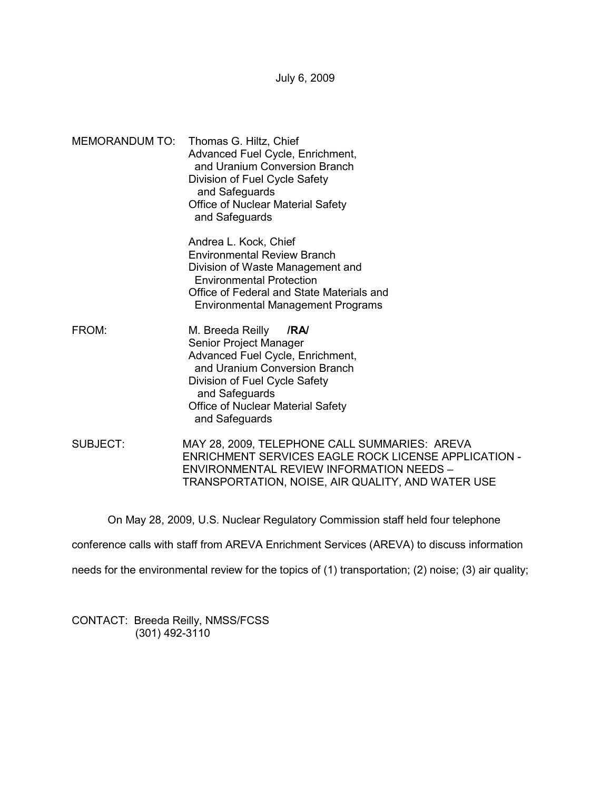July 6, 2009

MEMORANDUM TO: Thomas G. Hiltz, Chief Advanced Fuel Cycle, Enrichment, and Uranium Conversion Branch Division of Fuel Cycle Safety and Safeguards Office of Nuclear Material Safety and Safeguards

> Andrea L. Kock, Chief Environmental Review Branch Division of Waste Management and Environmental Protection Office of Federal and State Materials and Environmental Management Programs

- FROM: M. Breeda Reilly **/RA/**  Senior Project Manager Advanced Fuel Cycle, Enrichment, and Uranium Conversion Branch Division of Fuel Cycle Safety and Safeguards Office of Nuclear Material Safety and Safeguards
- SUBJECT: MAY 28, 2009, TELEPHONE CALL SUMMARIES: AREVA ENRICHMENT SERVICES EAGLE ROCK LICENSE APPLICATION - ENVIRONMENTAL REVIEW INFORMATION NEEDS – TRANSPORTATION, NOISE, AIR QUALITY, AND WATER USE

On May 28, 2009, U.S. Nuclear Regulatory Commission staff held four telephone

conference calls with staff from AREVA Enrichment Services (AREVA) to discuss information

needs for the environmental review for the topics of (1) transportation; (2) noise; (3) air quality;

CONTACT: Breeda Reilly, NMSS/FCSS (301) 492-3110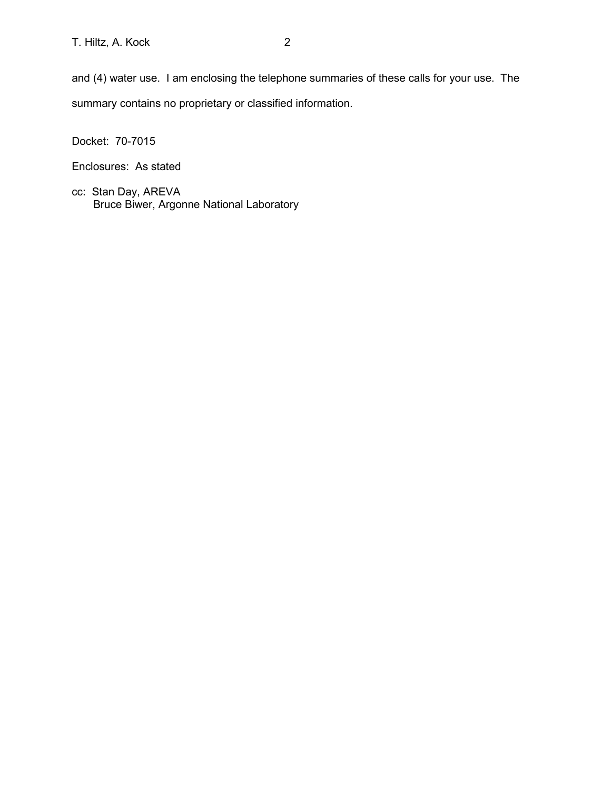and (4) water use. I am enclosing the telephone summaries of these calls for your use. The summary contains no proprietary or classified information.

Docket: 70-7015

Enclosures: As stated

cc: Stan Day, AREVA Bruce Biwer, Argonne National Laboratory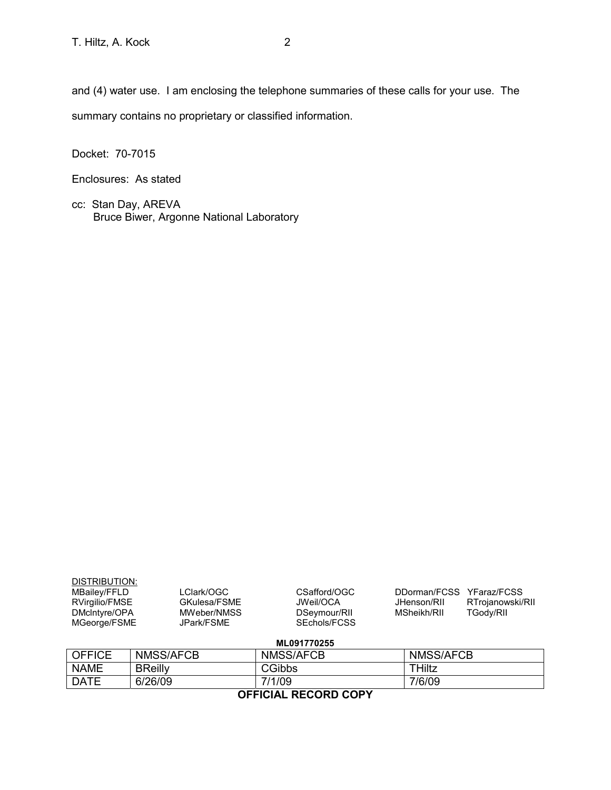and (4) water use. I am enclosing the telephone summaries of these calls for your use. The summary contains no proprietary or classified information.

Docket: 70-7015

Enclosures: As stated

cc: Stan Day, AREVA Bruce Biwer, Argonne National Laboratory

| DISTRIBUTION:<br>MBailey/FFLD<br>RVirgilio/FMSE<br>DMcIntyre/OPA<br>MGeorge/FSME | LClark/OGC<br>GKulesa/FSME<br>MWeber/NMSS<br>JPark/FSME | CSafford/OGC<br>JWeil/OCA<br>DSeymour/RII<br>SEchols/FCSS | DDorman/FCSS YFaraz/FCSS<br>RTrojanowski/RII<br>JHenson/RII<br><b>TGody/RII</b><br>MSheikh/RII |  |
|----------------------------------------------------------------------------------|---------------------------------------------------------|-----------------------------------------------------------|------------------------------------------------------------------------------------------------|--|
| ML091770255                                                                      |                                                         |                                                           |                                                                                                |  |
| <b>OFFICE</b>                                                                    | NMSS/AFCB                                               | NMSS/AFCB                                                 | NMSS/AFCB                                                                                      |  |
| <b>NAME</b>                                                                      | <b>BReilly</b>                                          | CGibbs                                                    | THiltz                                                                                         |  |
| <b>DATE</b>                                                                      | 6/26/09                                                 | 7/1/09                                                    | 7/6/09                                                                                         |  |

**OFFICIAL RECORD COPY**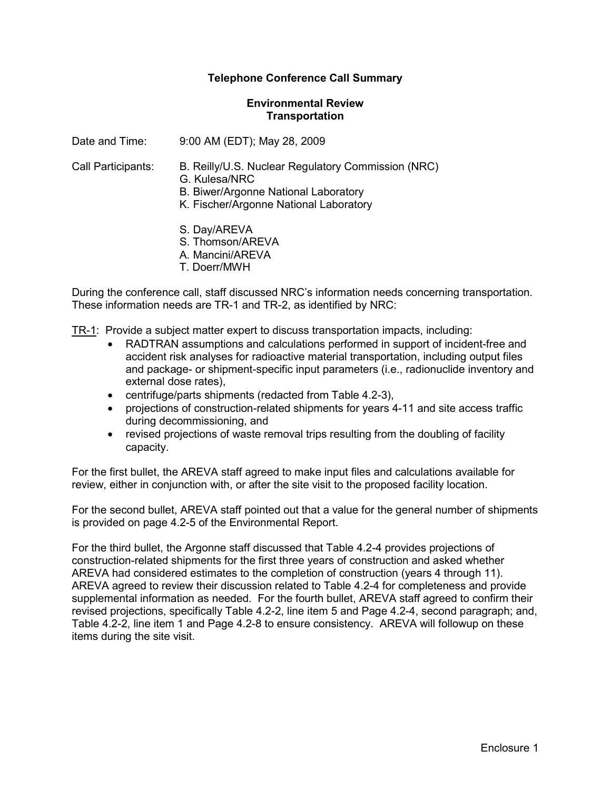#### **Environmental Review Transportation**

Date and Time: 9:00 AM (EDT); May 28, 2009

- Call Participants: B. Reilly/U.S. Nuclear Regulatory Commission (NRC)
	- G. Kulesa/NRC
	- B. Biwer/Argonne National Laboratory
	- K. Fischer/Argonne National Laboratory
	- S. Day/AREVA
	- S. Thomson/AREVA
	- A. Mancini/AREVA
	- T. Doerr/MWH

During the conference call, staff discussed NRC's information needs concerning transportation. These information needs are TR-1 and TR-2, as identified by NRC:

TR-1: Provide a subject matter expert to discuss transportation impacts, including:

- RADTRAN assumptions and calculations performed in support of incident-free and accident risk analyses for radioactive material transportation, including output files and package- or shipment-specific input parameters (i.e., radionuclide inventory and external dose rates),
- centrifuge/parts shipments (redacted from Table 4.2-3),
- projections of construction-related shipments for years 4-11 and site access traffic during decommissioning, and
- revised projections of waste removal trips resulting from the doubling of facility capacity.

For the first bullet, the AREVA staff agreed to make input files and calculations available for review, either in conjunction with, or after the site visit to the proposed facility location.

For the second bullet, AREVA staff pointed out that a value for the general number of shipments is provided on page 4.2-5 of the Environmental Report.

For the third bullet, the Argonne staff discussed that Table 4.2-4 provides projections of construction-related shipments for the first three years of construction and asked whether AREVA had considered estimates to the completion of construction (years 4 through 11). AREVA agreed to review their discussion related to Table 4.2-4 for completeness and provide supplemental information as needed. For the fourth bullet, AREVA staff agreed to confirm their revised projections, specifically Table 4.2-2, line item 5 and Page 4.2-4, second paragraph; and, Table 4.2-2, line item 1 and Page 4.2-8 to ensure consistency. AREVA will followup on these items during the site visit.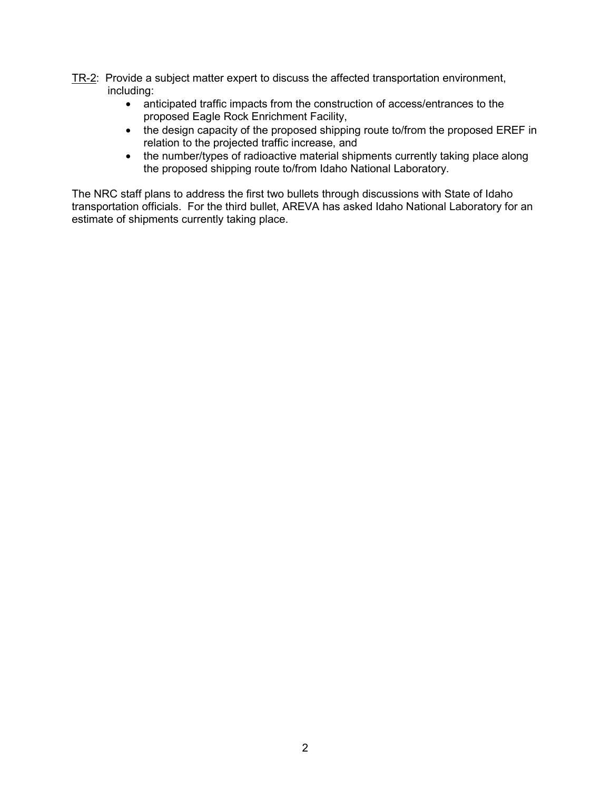- TR-2: Provide a subject matter expert to discuss the affected transportation environment, including:
	- anticipated traffic impacts from the construction of access/entrances to the proposed Eagle Rock Enrichment Facility,
	- the design capacity of the proposed shipping route to/from the proposed EREF in relation to the projected traffic increase, and
	- the number/types of radioactive material shipments currently taking place along the proposed shipping route to/from Idaho National Laboratory.

The NRC staff plans to address the first two bullets through discussions with State of Idaho transportation officials. For the third bullet, AREVA has asked Idaho National Laboratory for an estimate of shipments currently taking place.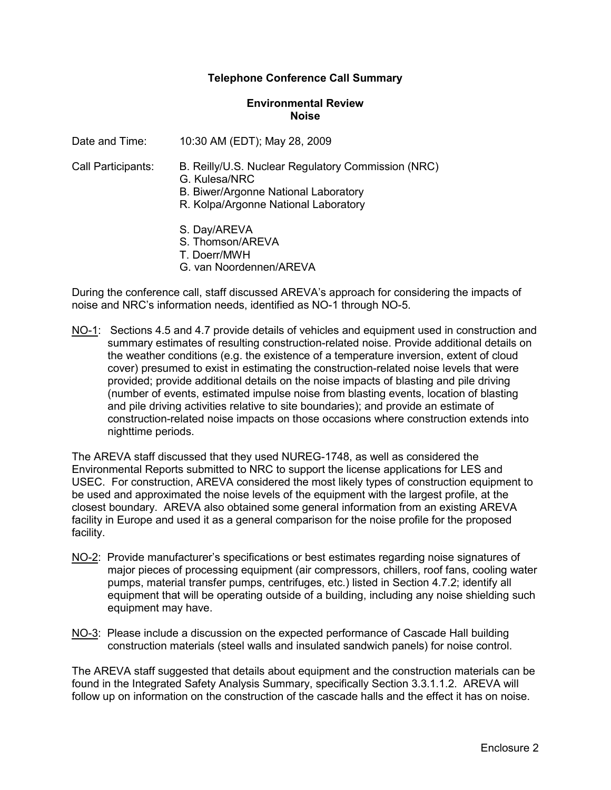#### **Environmental Review Noise**

Date and Time: 10:30 AM (EDT); May 28, 2009

- Call Participants: B. Reilly/U.S. Nuclear Regulatory Commission (NRC)
	- G. Kulesa/NRC
	- B. Biwer/Argonne National Laboratory
	- R. Kolpa/Argonne National Laboratory
	- S. Day/AREVA
	- S. Thomson/AREVA
	- T. Doerr/MWH
	- G. van Noordennen/AREVA

During the conference call, staff discussed AREVA's approach for considering the impacts of noise and NRC's information needs, identified as NO-1 through NO-5.

NO-1: Sections 4.5 and 4.7 provide details of vehicles and equipment used in construction and summary estimates of resulting construction-related noise. Provide additional details on the weather conditions (e.g. the existence of a temperature inversion, extent of cloud cover) presumed to exist in estimating the construction-related noise levels that were provided; provide additional details on the noise impacts of blasting and pile driving (number of events, estimated impulse noise from blasting events, location of blasting and pile driving activities relative to site boundaries); and provide an estimate of construction-related noise impacts on those occasions where construction extends into nighttime periods.

The AREVA staff discussed that they used NUREG-1748, as well as considered the Environmental Reports submitted to NRC to support the license applications for LES and USEC. For construction, AREVA considered the most likely types of construction equipment to be used and approximated the noise levels of the equipment with the largest profile, at the closest boundary. AREVA also obtained some general information from an existing AREVA facility in Europe and used it as a general comparison for the noise profile for the proposed facility.

- NO-2: Provide manufacturer's specifications or best estimates regarding noise signatures of major pieces of processing equipment (air compressors, chillers, roof fans, cooling water pumps, material transfer pumps, centrifuges, etc.) listed in Section 4.7.2; identify all equipment that will be operating outside of a building, including any noise shielding such equipment may have.
- NO-3: Please include a discussion on the expected performance of Cascade Hall building construction materials (steel walls and insulated sandwich panels) for noise control.

The AREVA staff suggested that details about equipment and the construction materials can be found in the Integrated Safety Analysis Summary, specifically Section 3.3.1.1.2. AREVA will follow up on information on the construction of the cascade halls and the effect it has on noise.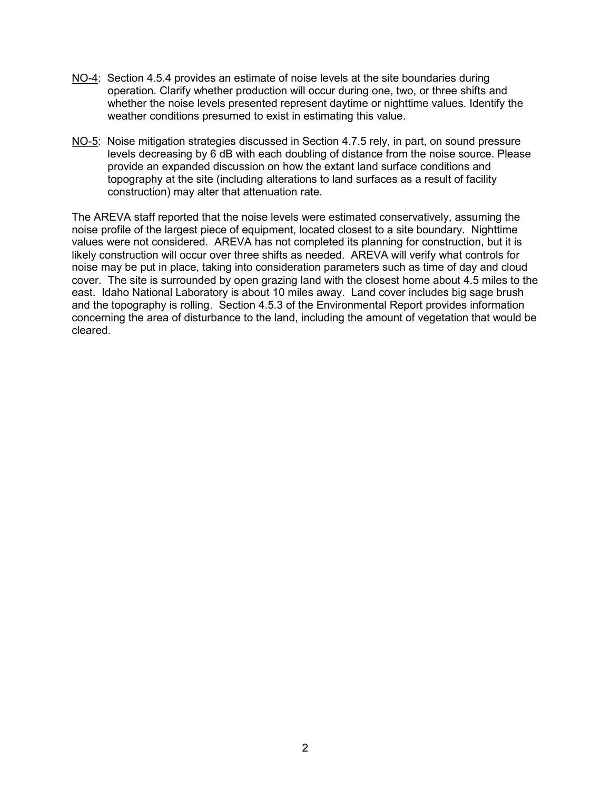- NO-4: Section 4.5.4 provides an estimate of noise levels at the site boundaries during operation. Clarify whether production will occur during one, two, or three shifts and whether the noise levels presented represent daytime or nighttime values. Identify the weather conditions presumed to exist in estimating this value.
- NO-5: Noise mitigation strategies discussed in Section 4.7.5 rely, in part, on sound pressure levels decreasing by 6 dB with each doubling of distance from the noise source. Please provide an expanded discussion on how the extant land surface conditions and topography at the site (including alterations to land surfaces as a result of facility construction) may alter that attenuation rate.

The AREVA staff reported that the noise levels were estimated conservatively, assuming the noise profile of the largest piece of equipment, located closest to a site boundary. Nighttime values were not considered. AREVA has not completed its planning for construction, but it is likely construction will occur over three shifts as needed. AREVA will verify what controls for noise may be put in place, taking into consideration parameters such as time of day and cloud cover. The site is surrounded by open grazing land with the closest home about 4.5 miles to the east. Idaho National Laboratory is about 10 miles away. Land cover includes big sage brush and the topography is rolling. Section 4.5.3 of the Environmental Report provides information concerning the area of disturbance to the land, including the amount of vegetation that would be cleared.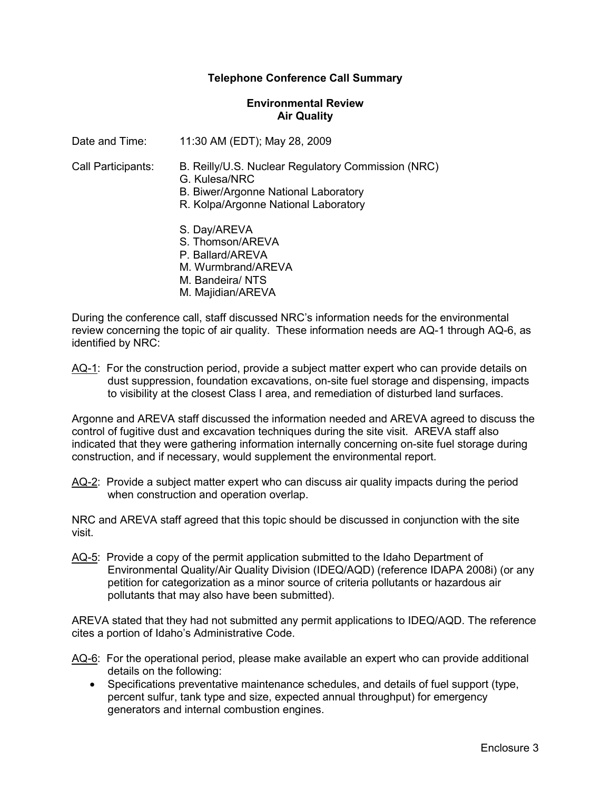#### **Environmental Review Air Quality**

Date and Time: 11:30 AM (EDT); May 28, 2009

- Call Participants: B. Reilly/U.S. Nuclear Regulatory Commission (NRC)
	- G. Kulesa/NRC
	- B. Biwer/Argonne National Laboratory
	- R. Kolpa/Argonne National Laboratory
	- S. Day/AREVA
	- S. Thomson/AREVA
	- P. Ballard/AREVA
	- M. Wurmbrand/AREVA
	- M. Bandeira/ NTS
	- M. Majidian/AREVA

During the conference call, staff discussed NRC's information needs for the environmental review concerning the topic of air quality. These information needs are AQ-1 through AQ-6, as identified by NRC:

AQ-1: For the construction period, provide a subject matter expert who can provide details on dust suppression, foundation excavations, on-site fuel storage and dispensing, impacts to visibility at the closest Class I area, and remediation of disturbed land surfaces.

Argonne and AREVA staff discussed the information needed and AREVA agreed to discuss the control of fugitive dust and excavation techniques during the site visit. AREVA staff also indicated that they were gathering information internally concerning on-site fuel storage during construction, and if necessary, would supplement the environmental report.

AQ-2: Provide a subject matter expert who can discuss air quality impacts during the period when construction and operation overlap.

NRC and AREVA staff agreed that this topic should be discussed in conjunction with the site visit.

AQ-5: Provide a copy of the permit application submitted to the Idaho Department of Environmental Quality/Air Quality Division (IDEQ/AQD) (reference IDAPA 2008i) (or any petition for categorization as a minor source of criteria pollutants or hazardous air pollutants that may also have been submitted).

AREVA stated that they had not submitted any permit applications to IDEQ/AQD. The reference cites a portion of Idaho's Administrative Code.

- AQ-6: For the operational period, please make available an expert who can provide additional details on the following:
	- Specifications preventative maintenance schedules, and details of fuel support (type, percent sulfur, tank type and size, expected annual throughput) for emergency generators and internal combustion engines.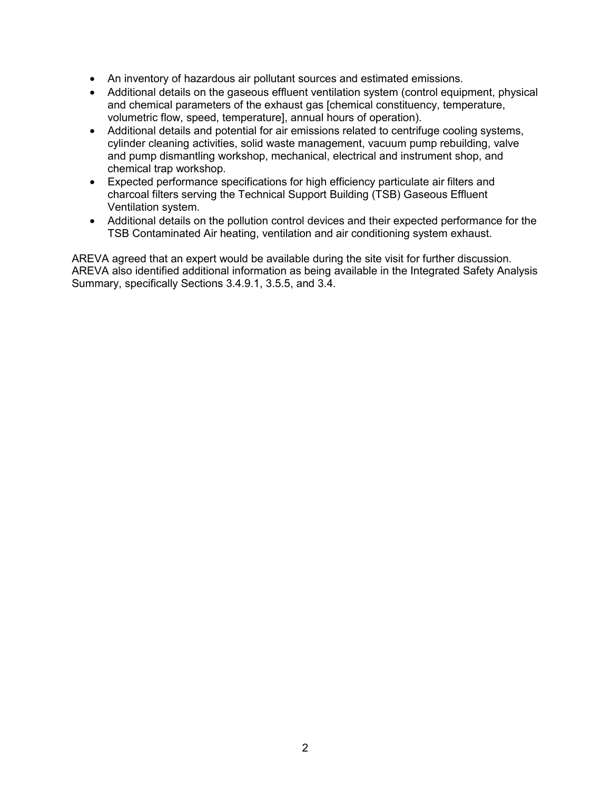- An inventory of hazardous air pollutant sources and estimated emissions.
- Additional details on the gaseous effluent ventilation system (control equipment, physical and chemical parameters of the exhaust gas [chemical constituency, temperature, volumetric flow, speed, temperature], annual hours of operation).
- Additional details and potential for air emissions related to centrifuge cooling systems, cylinder cleaning activities, solid waste management, vacuum pump rebuilding, valve and pump dismantling workshop, mechanical, electrical and instrument shop, and chemical trap workshop.
- Expected performance specifications for high efficiency particulate air filters and charcoal filters serving the Technical Support Building (TSB) Gaseous Effluent Ventilation system.
- Additional details on the pollution control devices and their expected performance for the TSB Contaminated Air heating, ventilation and air conditioning system exhaust.

AREVA agreed that an expert would be available during the site visit for further discussion. AREVA also identified additional information as being available in the Integrated Safety Analysis Summary, specifically Sections 3.4.9.1, 3.5.5, and 3.4.